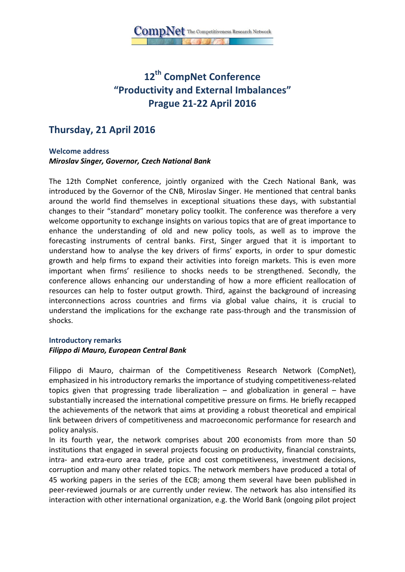# **12th CompNet Conference "Productivity and External Imbalances" Prague 21-22 April 2016**

## **Thursday, 21 April 2016**

#### **Welcome address**  *Miroslav Singer, Governor, Czech National Bank*

The 12th CompNet conference, jointly organized with the Czech National Bank, was introduced by the Governor of the CNB, Miroslav Singer. He mentioned that central banks around the world find themselves in exceptional situations these days, with substantial changes to their "standard" monetary policy toolkit. The conference was therefore a very welcome opportunity to exchange insights on various topics that are of great importance to enhance the understanding of old and new policy tools, as well as to improve the forecasting instruments of central banks. First, Singer argued that it is important to understand how to analyse the key drivers of firms' exports, in order to spur domestic growth and help firms to expand their activities into foreign markets. This is even more important when firms' resilience to shocks needs to be strengthened. Secondly, the conference allows enhancing our understanding of how a more efficient reallocation of resources can help to foster output growth. Third, against the background of increasing interconnections across countries and firms via global value chains, it is crucial to understand the implications for the exchange rate pass-through and the transmission of shocks.

#### **Introductory remarks**

#### *Filippo di Mauro, European Central Bank*

Filippo di Mauro, chairman of the Competitiveness Research Network (CompNet), emphasized in his introductory remarks the importance of studying competitiveness-related topics given that progressing trade liberalization  $-$  and globalization in general  $-$  have substantially increased the international competitive pressure on firms. He briefly recapped the achievements of the network that aims at providing a robust theoretical and empirical link between drivers of competitiveness and macroeconomic performance for research and policy analysis.

In its fourth year, the network comprises about 200 economists from more than 50 institutions that engaged in several projects focusing on productivity, financial constraints, intra- and extra-euro area trade, price and cost competitiveness, investment decisions, corruption and many other related topics. The network members have produced a total of 45 working papers in the series of the ECB; among them several have been published in peer-reviewed journals or are currently under review. The network has also intensified its interaction with other international organization, e.g. the World Bank (ongoing pilot project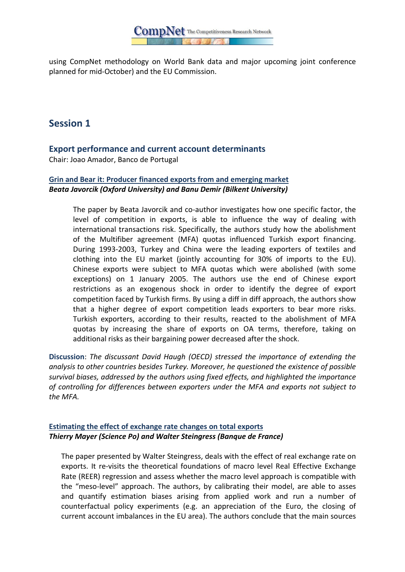

using CompNet methodology on World Bank data and major upcoming joint conference planned for mid-October) and the EU Commission.

## **Session 1**

## **Export performance and current account determinants**

Chair: Joao Amador, Banco de Portugal

### **Grin and Bear it: Producer financed exports from and emerging market** *Beata Javorcik (Oxford University) and Banu Demir (Bilkent University)*

The paper by Beata Javorcik and co-author investigates how one specific factor, the level of competition in exports, is able to influence the way of dealing with international transactions risk. Specifically, the authors study how the abolishment of the Multifiber agreement (MFA) quotas influenced Turkish export financing. During 1993-2003, Turkey and China were the leading exporters of textiles and clothing into the EU market (jointly accounting for 30% of imports to the EU). Chinese exports were subject to MFA quotas which were abolished (with some exceptions) on 1 January 2005. The authors use the end of Chinese export restrictions as an exogenous shock in order to identify the degree of export competition faced by Turkish firms. By using a diff in diff approach, the authors show that a higher degree of export competition leads exporters to bear more risks. Turkish exporters, according to their results, reacted to the abolishment of MFA quotas by increasing the share of exports on OA terms, therefore, taking on additional risks as their bargaining power decreased after the shock.

**Discussion**: *The discussant David Haugh (OECD) stressed the importance of extending the analysis to other countries besides Turkey. Moreover, he questioned the existence of possible survival biases, addressed by the authors using fixed effects, and highlighted the importance of controlling for differences between exporters under the MFA and exports not subject to the MFA.*

#### **Estimating the effect of exchange rate changes on total exports** *Thierry Mayer (Science Po) and Walter Steingress (Banque de France)*

The paper presented by Walter Steingress, deals with the effect of real exchange rate on exports. It re-visits the theoretical foundations of macro level Real Effective Exchange Rate (REER) regression and assess whether the macro level approach is compatible with the "meso-level" approach. The authors, by calibrating their model, are able to asses and quantify estimation biases arising from applied work and run a number of counterfactual policy experiments (e.g. an appreciation of the Euro, the closing of current account imbalances in the EU area). The authors conclude that the main sources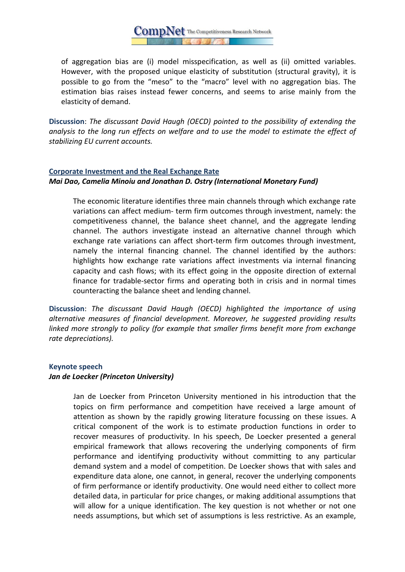$\text{CompNet}$  The Competitiveness Research Network

of aggregation bias are (i) model misspecification, as well as (ii) omitted variables. However, with the proposed unique elasticity of substitution (structural gravity), it is possible to go from the "meso" to the "macro" level with no aggregation bias. The estimation bias raises instead fewer concerns, and seems to arise mainly from the elasticity of demand.

**Discussion**: *The discussant David Haugh (OECD) pointed to the possibility of extending the analysis to the long run effects on welfare and to use the model to estimate the effect of stabilizing EU current accounts.*

## **Corporate Investment and the Real Exchange Rate** *Mai Dao, Camelia Minoiu and Jonathan D. Ostry (International Monetary Fund)*

The economic literature identifies three main channels through which exchange rate variations can affect medium- term firm outcomes through investment, namely: the competitiveness channel, the balance sheet channel, and the aggregate lending channel. The authors investigate instead an alternative channel through which exchange rate variations can affect short-term firm outcomes through investment, namely the internal financing channel. The channel identified by the authors: highlights how exchange rate variations affect investments via internal financing capacity and cash flows; with its effect going in the opposite direction of external finance for tradable-sector firms and operating both in crisis and in normal times counteracting the balance sheet and lending channel.

**Discussion**: *The discussant David Haugh (OECD) highlighted the importance of using alternative measures of financial development. Moreover, he suggested providing results linked more strongly to policy (for example that smaller firms benefit more from exchange rate depreciations).*

### **Keynote speech**

### *Jan de Loecker (Princeton University)*

Jan de Loecker from Princeton University mentioned in his introduction that the topics on firm performance and competition have received a large amount of attention as shown by the rapidly growing literature focussing on these issues. A critical component of the work is to estimate production functions in order to recover measures of productivity. In his speech, De Loecker presented a general empirical framework that allows recovering the underlying components of firm performance and identifying productivity without committing to any particular demand system and a model of competition. De Loecker shows that with sales and expenditure data alone, one cannot, in general, recover the underlying components of firm performance or identify productivity. One would need either to collect more detailed data, in particular for price changes, or making additional assumptions that will allow for a unique identification. The key question is not whether or not one needs assumptions, but which set of assumptions is less restrictive. As an example,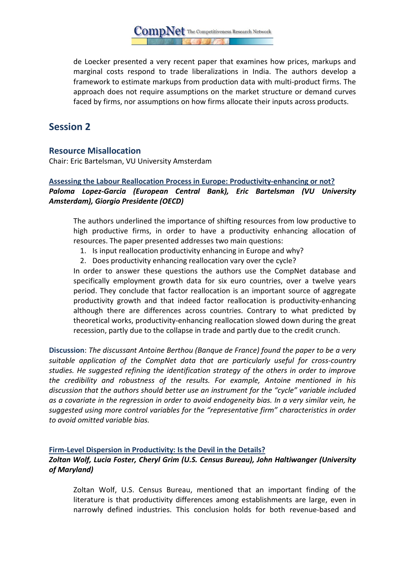$\text{CompNet}$  The Competitiveness Research Network

de Loecker presented a very recent paper that examines how prices, markups and marginal costs respond to trade liberalizations in India. The authors develop a framework to estimate markups from production data with multi-product firms. The approach does not require assumptions on the market structure or demand curves faced by firms, nor assumptions on how firms allocate their inputs across products.

## **Session 2**

## **Resource Misallocation**

Chair: Eric Bartelsman, VU University Amsterdam

## **Assessing the Labour Reallocation Process in Europe: Productivity-enhancing or not?** *Paloma Lopez-Garcia (European Central Bank), Eric Bartelsman (VU University Amsterdam), Giorgio Presidente (OECD)*

The authors underlined the importance of shifting resources from low productive to high productive firms, in order to have a productivity enhancing allocation of resources. The paper presented addresses two main questions:

- 1. Is input reallocation productivity enhancing in Europe and why?
- 2. Does productivity enhancing reallocation vary over the cycle?

In order to answer these questions the authors use the CompNet database and specifically employment growth data for six euro countries, over a twelve years period. They conclude that factor reallocation is an important source of aggregate productivity growth and that indeed factor reallocation is productivity-enhancing although there are differences across countries. Contrary to what predicted by theoretical works, productivity-enhancing reallocation slowed down during the great recession, partly due to the collapse in trade and partly due to the credit crunch.

**Discussion**: *The discussant Antoine Berthou (Banque de France) found the paper to be a very suitable application of the CompNet data that are particularly useful for cross-country studies. He suggested refining the identification strategy of the others in order to improve the credibility and robustness of the results. For example, Antoine mentioned in his discussion that the authors should better use an instrument for the "cycle" variable included as a covariate in the regression in order to avoid endogeneity bias. In a very similar vein, he suggested using more control variables for the "representative firm" characteristics in order to avoid omitted variable bias.* 

#### **Firm-Level Dispersion in Productivity: Is the Devil in the Details?**  *Zoltan Wolf, Lucia Foster, Cheryl Grim (U.S. Census Bureau), John Haltiwanger (University of Maryland)*

Zoltan Wolf, U.S. Census Bureau, mentioned that an important finding of the literature is that productivity differences among establishments are large, even in narrowly defined industries. This conclusion holds for both revenue-based and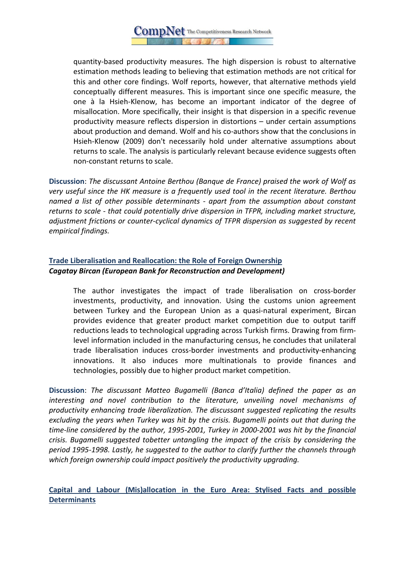quantity-based productivity measures. The high dispersion is robust to alternative estimation methods leading to believing that estimation methods are not critical for this and other core findings. Wolf reports, however, that alternative methods yield conceptually different measures. This is important since one specific measure, the one à la Hsieh-Klenow, has become an important indicator of the degree of misallocation. More specifically, their insight is that dispersion in a specific revenue productivity measure reflects dispersion in distortions – under certain assumptions about production and demand. Wolf and his co-authors show that the conclusions in Hsieh-Klenow (2009) don't necessarily hold under alternative assumptions about returns to scale. The analysis is particularly relevant because evidence suggests often non-constant returns to scale.

**Discussion**: *The discussant Antoine Berthou (Banque de France) praised the work of Wolf as very useful since the HK measure is a frequently used tool in the recent literature. Berthou named a list of other possible determinants - apart from the assumption about constant returns to scale - that could potentially drive dispersion in TFPR, including market structure, adjustment frictions or counter-cyclical dynamics of TFPR dispersion as suggested by recent empirical findings.*

## **Trade Liberalisation and Reallocation: the Role of Foreign Ownership**  *Cagatay Bircan (European Bank for Reconstruction and Development)*

The author investigates the impact of trade liberalisation on cross-border investments, productivity, and innovation. Using the customs union agreement between Turkey and the European Union as a quasi-natural experiment, Bircan provides evidence that greater product market competition due to output tariff reductions leads to technological upgrading across Turkish firms. Drawing from firmlevel information included in the manufacturing census, he concludes that unilateral trade liberalisation induces cross-border investments and productivity-enhancing innovations. It also induces more multinationals to provide finances and technologies, possibly due to higher product market competition.

**Discussion**: *The discussant Matteo Bugamelli (Banca d'Italia) defined the paper as an interesting and novel contribution to the literature, unveiling novel mechanisms of productivity enhancing trade liberalization. The discussant suggested replicating the results excluding the years when Turkey was hit by the crisis. Bugamelli points out that during the time-line considered by the author, 1995-2001, Turkey in 2000-2001 was hit by the financial crisis. Bugamelli suggested tobetter untangling the impact of the crisis by considering the period 1995-1998. Lastly, he suggested to the author to clarify further the channels through which foreign ownership could impact positively the productivity upgrading.*

**Capital and Labour (Mis)allocation in the Euro Area: Stylised Facts and possible Determinants**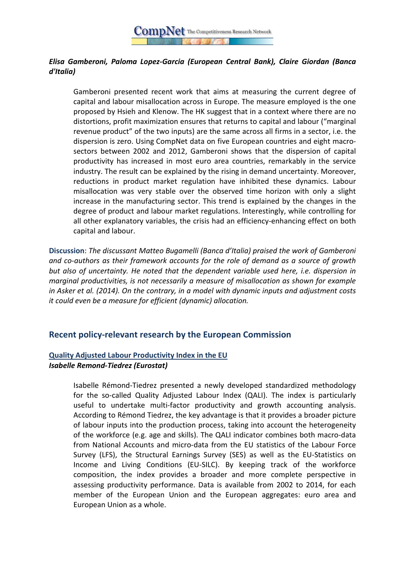

## *Elisa Gamberoni, Paloma Lopez-Garcia (European Central Bank), Claire Giordan (Banca d'Italia)*

Gamberoni presented recent work that aims at measuring the current degree of capital and labour misallocation across in Europe. The measure employed is the one proposed by Hsieh and Klenow. The HK suggest that in a context where there are no distortions, profit maximization ensures that returns to capital and labour ("marginal revenue product" of the two inputs) are the same across all firms in a sector, i.e. the dispersion is zero. Using CompNet data on five European countries and eight macrosectors between 2002 and 2012, Gamberoni shows that the dispersion of capital productivity has increased in most euro area countries, remarkably in the service industry. The result can be explained by the rising in demand uncertainty. Moreover, reductions in product market regulation have inhibited these dynamics. Labour misallocation was very stable over the observed time horizon with only a slight increase in the manufacturing sector. This trend is explained by the changes in the degree of product and labour market regulations. Interestingly, while controlling for all other explanatory variables, the crisis had an efficiency-enhancing effect on both capital and labour.

**Discussion**: *The discussant Matteo Bugamelli (Banca d'Italia) praised the work of Gamberoni and co-authors as their framework accounts for the role of demand as a source of growth but also of uncertainty. He noted that the dependent variable used here, i.e. dispersion in marginal productivities, is not necessarily a measure of misallocation as shown for example in Asker et al. (2014). On the contrary, in a model with dynamic inputs and adjustment costs it could even be a measure for efficient (dynamic) allocation.*

### **Recent policy-relevant research by the European Commission**

#### **Quality Adjusted Labour Productivity Index in the EU** *Isabelle Remond-Tiedrez (Eurostat)*

Isabelle Rémond-Tiedrez presented a newly developed standardized methodology for the so-called Quality Adjusted Labour Index (QALI). The index is particularly useful to undertake multi-factor productivity and growth accounting analysis. According to Rémond Tiedrez, the key advantage is that it provides a broader picture of labour inputs into the production process, taking into account the heterogeneity of the workforce (e.g. age and skills). The QALI indicator combines both macro-data from National Accounts and micro-data from the EU statistics of the Labour Force Survey (LFS), the Structural Earnings Survey (SES) as well as the EU-Statistics on Income and Living Conditions (EU-SILC). By keeping track of the workforce composition, the index provides a broader and more complete perspective in assessing productivity performance. Data is available from 2002 to 2014, for each member of the European Union and the European aggregates: euro area and European Union as a whole.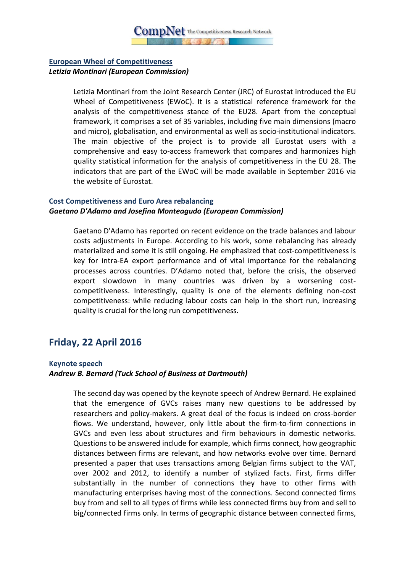### **European Wheel of Competitiveness**  *Letizia Montinari (European Commission)*

Letizia Montinari from the Joint Research Center (JRC) of Eurostat introduced the EU Wheel of Competitiveness (EWoC). It is a statistical reference framework for the analysis of the competitiveness stance of the EU28. Apart from the conceptual framework, it comprises a set of 35 variables, including five main dimensions (macro and micro), globalisation, and environmental as well as socio-institutional indicators. The main objective of the project is to provide all Eurostat users with a comprehensive and easy to-access framework that compares and harmonizes high quality statistical information for the analysis of competitiveness in the EU 28. The indicators that are part of the EWoC will be made available in September 2016 via the website of Eurostat.

#### **Cost Competitiveness and Euro Area rebalancing**

#### *Gaetano D'Adamo and Josefina Monteagudo (European Commission)*

Gaetano D'Adamo has reported on recent evidence on the trade balances and labour costs adjustments in Europe. According to his work, some rebalancing has already materialized and some it is still ongoing. He emphasized that cost-competitiveness is key for intra-EA export performance and of vital importance for the rebalancing processes across countries. D'Adamo noted that, before the crisis, the observed export slowdown in many countries was driven by a worsening costcompetitiveness. Interestingly, quality is one of the elements defining non-cost competitiveness: while reducing labour costs can help in the short run, increasing quality is crucial for the long run competitiveness.

## **Friday, 22 April 2016**

#### **Keynote speech**

#### *Andrew B. Bernard (Tuck School of Business at Dartmouth)*

The second day was opened by the keynote speech of Andrew Bernard. He explained that the emergence of GVCs raises many new questions to be addressed by researchers and policy-makers. A great deal of the focus is indeed on cross-border flows. We understand, however, only little about the firm-to-firm connections in GVCs and even less about structures and firm behaviours in domestic networks. Questions to be answered include for example, which firms connect, how geographic distances between firms are relevant, and how networks evolve over time. Bernard presented a paper that uses transactions among Belgian firms subject to the VAT, over 2002 and 2012, to identify a number of stylized facts. First, firms differ substantially in the number of connections they have to other firms with manufacturing enterprises having most of the connections. Second connected firms buy from and sell to all types of firms while less connected firms buy from and sell to big/connected firms only. In terms of geographic distance between connected firms,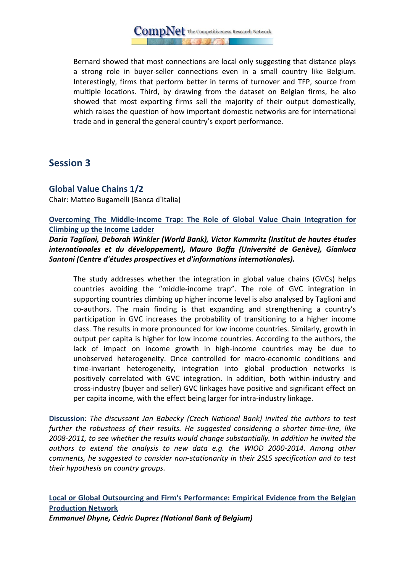$\operatorname{CompNet}$  The Competitiveness Research Network

Bernard showed that most connections are local only suggesting that distance plays a strong role in buyer-seller connections even in a small country like Belgium. Interestingly, firms that perform better in terms of turnover and TFP, source from multiple locations. Third, by drawing from the dataset on Belgian firms, he also showed that most exporting firms sell the majority of their output domestically, which raises the question of how important domestic networks are for international trade and in general the general country's export performance.

## **Session 3**

## **Global Value Chains 1/2**

Chair: Matteo Bugamelli (Banca d'Italia)

#### **Overcoming The Middle-Income Trap: The Role of Global Value Chain Integration for Climbing up the Income Ladder**

*Daria Taglioni, Deborah Winkler (World Bank), Victor Kummritz (Institut de hautes études internationales et du développement), Mauro Boffa (Université de Genève), Gianluca Santoni (Centre d'études prospectives et d'informations internationales).* 

The study addresses whether the integration in global value chains (GVCs) helps countries avoiding the "middle-income trap". The role of GVC integration in supporting countries climbing up higher income level is also analysed by Taglioni and co-authors. The main finding is that expanding and strengthening a country's participation in GVC increases the probability of transitioning to a higher income class. The results in more pronounced for low income countries. Similarly, growth in output per capita is higher for low income countries. According to the authors, the lack of impact on income growth in high-income countries may be due to unobserved heterogeneity. Once controlled for macro-economic conditions and time-invariant heterogeneity, integration into global production networks is positively correlated with GVC integration. In addition, both within-industry and cross-industry (buyer and seller) GVC linkages have positive and significant effect on per capita income, with the effect being larger for intra-industry linkage.

**Discussion**: *The discussant Jan Babecky (Czech National Bank) invited the authors to test further the robustness of their results. He suggested considering a shorter time-line, like 2008-2011, to see whether the results would change substantially. In addition he invited the authors to extend the analysis to new data e.g. the WIOD 2000-2014. Among other comments, he suggested to consider non-stationarity in their 2SLS specification and to test their hypothesis on country groups.* 

**Local or Global Outsourcing and Firm's Performance: Empirical Evidence from the Belgian Production Network** *Emmanuel Dhyne, Cédric Duprez (National Bank of Belgium)*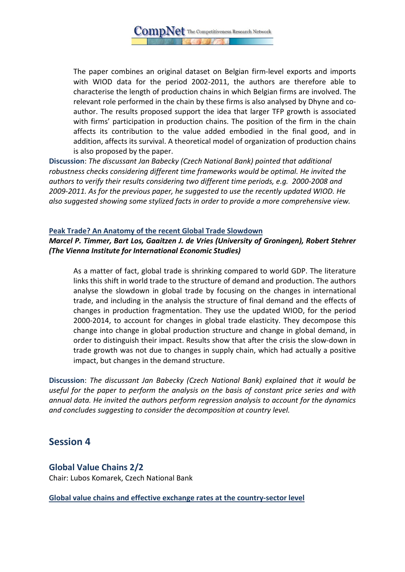The paper combines an original dataset on Belgian firm-level exports and imports with WIOD data for the period 2002-2011, the authors are therefore able to characterise the length of production chains in which Belgian firms are involved. The relevant role performed in the chain by these firms is also analysed by Dhyne and coauthor. The results proposed support the idea that larger TFP growth is associated with firms' participation in production chains. The position of the firm in the chain affects its contribution to the value added embodied in the final good, and in addition, affects its survival. A theoretical model of organization of production chains is also proposed by the paper.

**Discussion**: *The discussant Jan Babecky (Czech National Bank) pointed that additional robustness checks considering different time frameworks would be optimal. He invited the authors to verify their results considering two different time periods, e.g. 2000-2008 and 2009-2011. As for the previous paper, he suggested to use the recently updated WIOD. He also suggested showing some stylized facts in order to provide a more comprehensive view.* 

### **Peak Trade? An Anatomy of the recent Global Trade Slowdown**  *Marcel P. Timmer, Bart Los, Gaaitzen J. de Vries (University of Groningen), Robert Stehrer (The Vienna Institute for International Economic Studies)*

As a matter of fact, global trade is shrinking compared to world GDP. The literature links this shift in world trade to the structure of demand and production. The authors analyse the slowdown in global trade by focusing on the changes in international trade, and including in the analysis the structure of final demand and the effects of changes in production fragmentation. They use the updated WIOD, for the period 2000-2014, to account for changes in global trade elasticity. They decompose this change into change in global production structure and change in global demand, in order to distinguish their impact. Results show that after the crisis the slow-down in trade growth was not due to changes in supply chain, which had actually a positive impact, but changes in the demand structure.

**Discussion**: *The discussant Jan Babecky (Czech National Bank) explained that it would be useful for the paper to perform the analysis on the basis of constant price series and with annual data. He invited the authors perform regression analysis to account for the dynamics and concludes suggesting to consider the decomposition at country level.*

## **Session 4**

## **Global Value Chains 2/2** Chair: Lubos Komarek, Czech National Bank

**Global value chains and effective exchange rates at the country-sector level**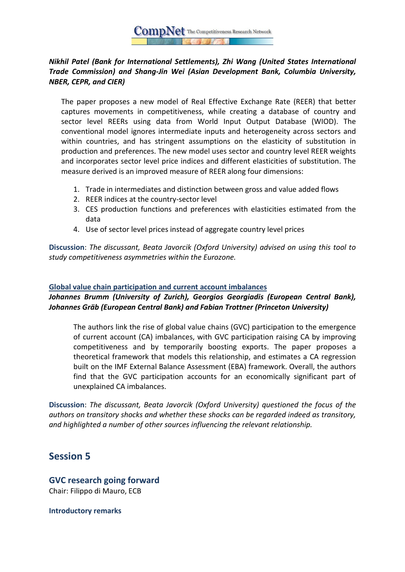## *Nikhil Patel (Bank for International Settlements), Zhi Wang (United States International Trade Commission) and Shang-Jin Wei (Asian Development Bank, Columbia University, NBER, CEPR, and CIER)*

The paper proposes a new model of Real Effective Exchange Rate (REER) that better captures movements in competitiveness, while creating a database of country and sector level REERs using data from World Input Output Database (WIOD). The conventional model ignores intermediate inputs and heterogeneity across sectors and within countries, and has stringent assumptions on the elasticity of substitution in production and preferences. The new model uses sector and country level REER weights and incorporates sector level price indices and different elasticities of substitution. The measure derived is an improved measure of REER along four dimensions:

- 1. Trade in intermediates and distinction between gross and value added flows
- 2. REER indices at the country-sector level
- 3. CES production functions and preferences with elasticities estimated from the data
- 4. Use of sector level prices instead of aggregate country level prices

**Discussion**: *The discussant, Beata Javorcik (Oxford University) advised on using this tool to study competitiveness asymmetries within the Eurozone.*

#### **Global value chain participation and current account imbalances**

## *Johannes Brumm (University of Zurich), Georgios Georgiadis (European Central Bank), Johannes Gräb (European Central Bank) and Fabian Trottner (Princeton University)*

The authors link the rise of global value chains (GVC) participation to the emergence of current account (CA) imbalances, with GVC participation raising CA by improving competitiveness and by temporarily boosting exports. The paper proposes a theoretical framework that models this relationship, and estimates a CA regression built on the IMF External Balance Assessment (EBA) framework. Overall, the authors find that the GVC participation accounts for an economically significant part of unexplained CA imbalances.

**Discussion**: *The discussant, Beata Javorcik (Oxford University) questioned the focus of the authors on transitory shocks and whether these shocks can be regarded indeed as transitory, and highlighted a number of other sources influencing the relevant relationship.* 

## **Session 5**

## **GVC research going forward**

Chair: Filippo di Mauro, ECB

**Introductory remarks**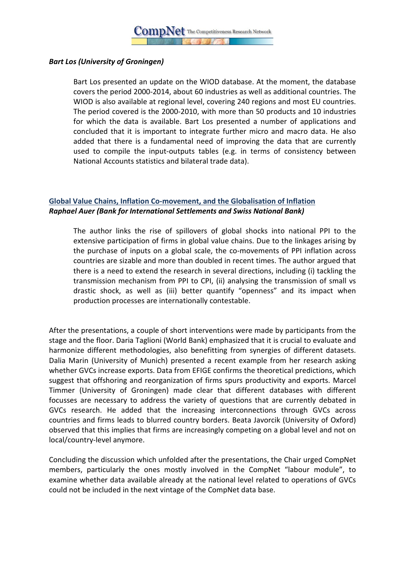

#### *Bart Los (University of Groningen)*

Bart Los presented an update on the WIOD database. At the moment, the database covers the period 2000-2014, about 60 industries as well as additional countries. The WIOD is also available at regional level, covering 240 regions and most EU countries. The period covered is the 2000-2010, with more than 50 products and 10 industries for which the data is available. Bart Los presented a number of applications and concluded that it is important to integrate further micro and macro data. He also added that there is a fundamental need of improving the data that are currently used to compile the input-outputs tables (e.g. in terms of consistency between National Accounts statistics and bilateral trade data).

## **Global Value Chains, Inflation Co-movement, and the Globalisation of Inflation** *Raphael Auer (Bank for International Settlements and Swiss National Bank)*

The author links the rise of spillovers of global shocks into national PPI to the extensive participation of firms in global value chains. Due to the linkages arising by the purchase of inputs on a global scale, the co-movements of PPI inflation across countries are sizable and more than doubled in recent times. The author argued that there is a need to extend the research in several directions, including (i) tackling the transmission mechanism from PPI to CPI, (ii) analysing the transmission of small vs drastic shock, as well as (iii) better quantify "openness" and its impact when production processes are internationally contestable.

After the presentations, a couple of short interventions were made by participants from the stage and the floor. Daria Taglioni (World Bank) emphasized that it is crucial to evaluate and harmonize different methodologies, also benefitting from synergies of different datasets. Dalia Marin (University of Munich) presented a recent example from her research asking whether GVCs increase exports. Data from EFIGE confirms the theoretical predictions, which suggest that offshoring and reorganization of firms spurs productivity and exports. Marcel Timmer (University of Groningen) made clear that different databases with different focusses are necessary to address the variety of questions that are currently debated in GVCs research. He added that the increasing interconnections through GVCs across countries and firms leads to blurred country borders. Beata Javorcik (University of Oxford) observed that this implies that firms are increasingly competing on a global level and not on local/country-level anymore.

Concluding the discussion which unfolded after the presentations, the Chair urged CompNet members, particularly the ones mostly involved in the CompNet "labour module", to examine whether data available already at the national level related to operations of GVCs could not be included in the next vintage of the CompNet data base.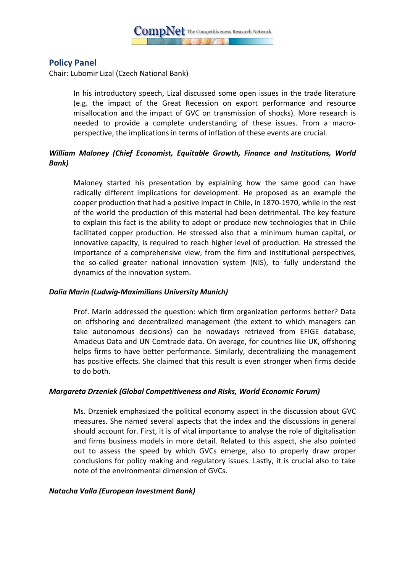

## **Policy Panel**

Chair: Lubomir Lizal (Czech National Bank)

In his introductory speech, Lizal discussed some open issues in the trade literature (e.g. the impact of the Great Recession on export performance and resource misallocation and the impact of GVC on transmission of shocks). More research is needed to provide a complete understanding of these issues. From a macroperspective, the implications in terms of inflation of these events are crucial.

## *William Maloney (Chief Economist, Equitable Growth, Finance and Institutions, World Bank)*

Maloney started his presentation by explaining how the same good can have radically different implications for development. He proposed as an example the copper production that had a positive impact in Chile, in 1870-1970, while in the rest of the world the production of this material had been detrimental. The key feature to explain this fact is the ability to adopt or produce new technologies that in Chile facilitated copper production. He stressed also that a minimum human capital, or innovative capacity, is required to reach higher level of production. He stressed the importance of a comprehensive view, from the firm and institutional perspectives, the so-called greater national innovation system (NIS), to fully understand the dynamics of the innovation system.

#### *Dalia Marin (Ludwig-Maximilians University Munich)*

Prof. Marin addressed the question: which firm organization performs better? Data on offshoring and decentralized management (the extent to which managers can take autonomous decisions) can be nowadays retrieved from EFIGE database, Amadeus Data and UN Comtrade data. On average, for countries like UK, offshoring helps firms to have better performance. Similarly, decentralizing the management has positive effects. She claimed that this result is even stronger when firms decide to do both.

#### *Margareta Drzeniek (Global Competitiveness and Risks, World Economic Forum)*

Ms. Drzeniek emphasized the political economy aspect in the discussion about GVC measures. She named several aspects that the index and the discussions in general should account for. First, it is of vital importance to analyse the role of digitalisation and firms business models in more detail. Related to this aspect, she also pointed out to assess the speed by which GVCs emerge, also to properly draw proper conclusions for policy making and regulatory issues. Lastly, it is crucial also to take note of the environmental dimension of GVCs.

#### *Natacha Valla (European Investment Bank)*